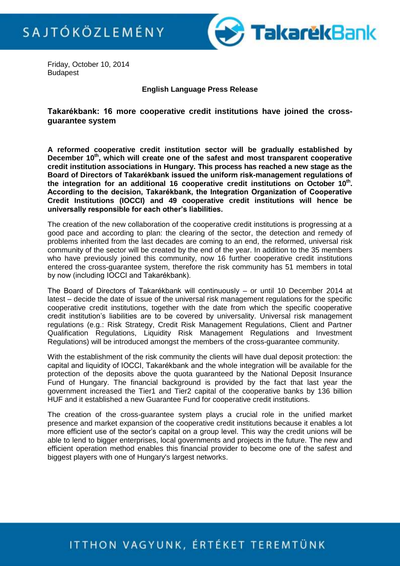

Friday, October 10, 2014 **Budapest** 

**English Language Press Release**

**Takarékbank: 16 more cooperative credit institutions have joined the crossguarantee system**

**A reformed cooperative credit institution sector will be gradually established by December 10th, which will create one of the safest and most transparent cooperative credit institution associations in Hungary. This process has reached a new stage as the Board of Directors of Takarékbank issued the uniform risk-management regulations of the integration for an additional 16 cooperative credit institutions on October 10th . According to the decision, Takarékbank, the Integration Organization of Cooperative Credit Institutions (IOCCI) and 49 cooperative credit institutions will hence be universally responsible for each other's liabilities.** 

The creation of the new collaboration of the cooperative credit institutions is progressing at a good pace and according to plan: the clearing of the sector, the detection and remedy of problems inherited from the last decades are coming to an end, the reformed, universal risk community of the sector will be created by the end of the year. In addition to the 35 members who have previously joined this community, now 16 further cooperative credit institutions entered the cross-guarantee system, therefore the risk community has 51 members in total by now (including IOCCI and Takarékbank).

The Board of Directors of Takarékbank will continuously – or until 10 December 2014 at latest – decide the date of issue of the universal risk management regulations for the specific cooperative credit institutions, together with the date from which the specific cooperative credit institution's liabilities are to be covered by universality. Universal risk management regulations (e.g.: Risk Strategy, Credit Risk Management Regulations, Client and Partner Qualification Regulations, Liquidity Risk Management Regulations and Investment Regulations) will be introduced amongst the members of the cross-guarantee community.

With the establishment of the risk community the clients will have dual deposit protection: the capital and liquidity of IOCCI, Takarékbank and the whole integration will be available for the protection of the deposits above the quota guaranteed by the National Deposit Insurance Fund of Hungary. The financial background is provided by the fact that last year the government increased the Tier1 and Tier2 capital of the cooperative banks by 136 billion HUF and it established a new Guarantee Fund for cooperative credit institutions.

The creation of the cross-guarantee system plays a crucial role in the unified market presence and market expansion of the cooperative credit institutions because it enables a lot more efficient use of the sector's capital on a group level. This way the credit unions will be able to lend to bigger enterprises, local governments and projects in the future. The new and efficient operation method enables this financial provider to become one of the safest and biggest players with one of Hungary's largest networks.

## ITTHON VAGYUNK, ÉRTÉKET TEREMTÜNK